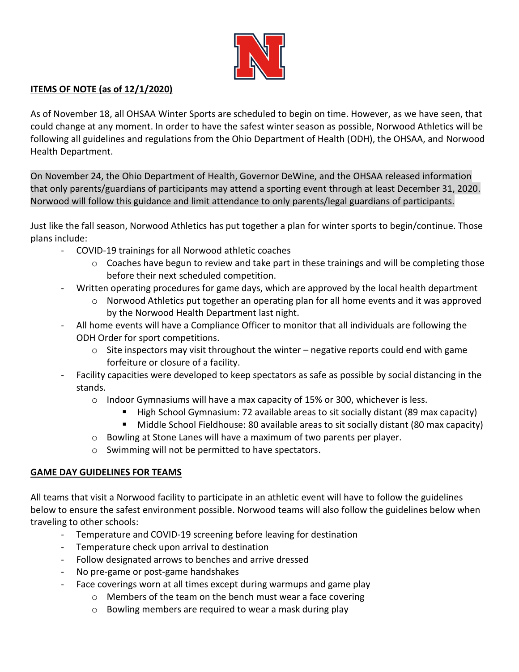

# **ITEMS OF NOTE (as of 12/1/2020)**

As of November 18, all OHSAA Winter Sports are scheduled to begin on time. However, as we have seen, that could change at any moment. In order to have the safest winter season as possible, Norwood Athletics will be following all guidelines and regulations from the Ohio Department of Health (ODH), the OHSAA, and Norwood Health Department.

On November 24, the Ohio Department of Health, Governor DeWine, and the OHSAA released information that only parents/guardians of participants may attend a sporting event through at least December 31, 2020. Norwood will follow this guidance and limit attendance to only parents/legal guardians of participants.

Just like the fall season, Norwood Athletics has put together a plan for winter sports to begin/continue. Those plans include:

- COVID-19 trainings for all Norwood athletic coaches
	- $\circ$  Coaches have begun to review and take part in these trainings and will be completing those before their next scheduled competition.
- Written operating procedures for game days, which are approved by the local health department
	- $\circ$  Norwood Athletics put together an operating plan for all home events and it was approved by the Norwood Health Department last night.
- All home events will have a Compliance Officer to monitor that all individuals are following the ODH Order for sport competitions.
	- $\circ$  Site inspectors may visit throughout the winter negative reports could end with game forfeiture or closure of a facility.
- Facility capacities were developed to keep spectators as safe as possible by social distancing in the stands.
	- $\circ$  Indoor Gymnasiums will have a max capacity of 15% or 300, whichever is less.
		- High School Gymnasium: 72 available areas to sit socially distant (89 max capacity)
		- Middle School Fieldhouse: 80 available areas to sit socially distant (80 max capacity)
	- o Bowling at Stone Lanes will have a maximum of two parents per player.
	- o Swimming will not be permitted to have spectators.

# **GAME DAY GUIDELINES FOR TEAMS**

All teams that visit a Norwood facility to participate in an athletic event will have to follow the guidelines below to ensure the safest environment possible. Norwood teams will also follow the guidelines below when traveling to other schools:

- Temperature and COVID-19 screening before leaving for destination
- Temperature check upon arrival to destination
- Follow designated arrows to benches and arrive dressed
- No pre-game or post-game handshakes
- Face coverings worn at all times except during warmups and game play
	- o Members of the team on the bench must wear a face covering
	- o Bowling members are required to wear a mask during play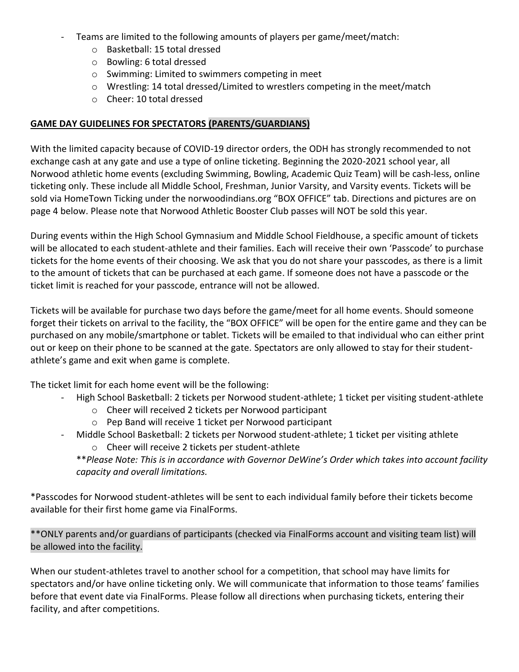- Teams are limited to the following amounts of players per game/meet/match:
	- o Basketball: 15 total dressed
	- o Bowling: 6 total dressed
	- o Swimming: Limited to swimmers competing in meet
	- o Wrestling: 14 total dressed/Limited to wrestlers competing in the meet/match
	- o Cheer: 10 total dressed

# **GAME DAY GUIDELINES FOR SPECTATORS (PARENTS/GUARDIANS)**

With the limited capacity because of COVID-19 director orders, the ODH has strongly recommended to not exchange cash at any gate and use a type of online ticketing. Beginning the 2020-2021 school year, all Norwood athletic home events (excluding Swimming, Bowling, Academic Quiz Team) will be cash-less, online ticketing only. These include all Middle School, Freshman, Junior Varsity, and Varsity events. Tickets will be sold via HomeTown Ticking under the norwoodindians.org "BOX OFFICE" tab. Directions and pictures are on page 4 below. Please note that Norwood Athletic Booster Club passes will NOT be sold this year.

During events within the High School Gymnasium and Middle School Fieldhouse, a specific amount of tickets will be allocated to each student-athlete and their families. Each will receive their own 'Passcode' to purchase tickets for the home events of their choosing. We ask that you do not share your passcodes, as there is a limit to the amount of tickets that can be purchased at each game. If someone does not have a passcode or the ticket limit is reached for your passcode, entrance will not be allowed.

Tickets will be available for purchase two days before the game/meet for all home events. Should someone forget their tickets on arrival to the facility, the "BOX OFFICE" will be open for the entire game and they can be purchased on any mobile/smartphone or tablet. Tickets will be emailed to that individual who can either print out or keep on their phone to be scanned at the gate. Spectators are only allowed to stay for their studentathlete's game and exit when game is complete.

The ticket limit for each home event will be the following:

- High School Basketball: 2 tickets per Norwood student-athlete; 1 ticket per visiting student-athlete
	- o Cheer will received 2 tickets per Norwood participant
	- o Pep Band will receive 1 ticket per Norwood participant
- Middle School Basketball: 2 tickets per Norwood student-athlete; 1 ticket per visiting athlete
	- o Cheer will receive 2 tickets per student-athlete
	- \*\**Please Note: This is in accordance with Governor DeWine's Order which takes into account facility capacity and overall limitations.*

\*Passcodes for Norwood student-athletes will be sent to each individual family before their tickets become available for their first home game via FinalForms.

\*\*ONLY parents and/or guardians of participants (checked via FinalForms account and visiting team list) will be allowed into the facility.

When our student-athletes travel to another school for a competition, that school may have limits for spectators and/or have online ticketing only. We will communicate that information to those teams' families before that event date via FinalForms. Please follow all directions when purchasing tickets, entering their facility, and after competitions.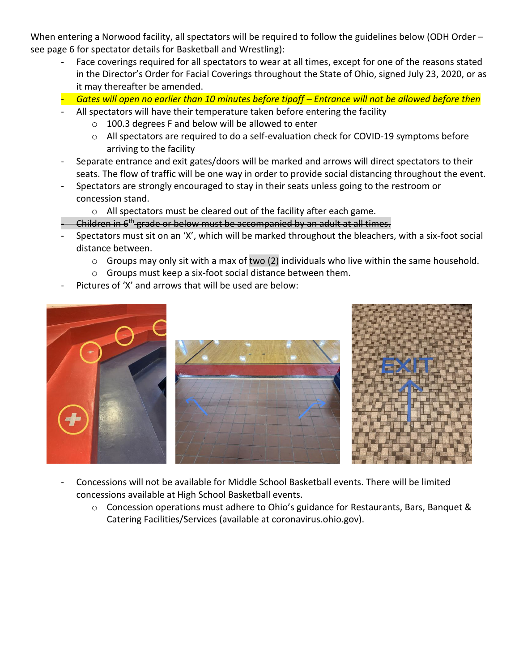When entering a Norwood facility, all spectators will be required to follow the guidelines below (ODH Order – see page 6 for spectator details for Basketball and Wrestling):

- Face coverings required for all spectators to wear at all times, except for one of the reasons stated in the Director's Order for Facial Coverings throughout the State of Ohio, signed July 23, 2020, or as it may thereafter be amended.
- *Gates will open no earlier than 10 minutes before tipoff – Entrance will not be allowed before then*
- All spectators will have their temperature taken before entering the facility
	- o 100.3 degrees F and below will be allowed to enter
	- o All spectators are required to do a self-evaluation check for COVID-19 symptoms before arriving to the facility
- Separate entrance and exit gates/doors will be marked and arrows will direct spectators to their seats. The flow of traffic will be one way in order to provide social distancing throughout the event.
- Spectators are strongly encouraged to stay in their seats unless going to the restroom or concession stand.
	- o All spectators must be cleared out of the facility after each game.
- Children in 6th grade or below must be accompanied by an adult at all times.
- Spectators must sit on an 'X', which will be marked throughout the bleachers, with a six-foot social distance between.
	- $\circ$  Groups may only sit with a max of two (2) individuals who live within the same household.
	- o Groups must keep a six-foot social distance between them.
- Pictures of 'X' and arrows that will be used are below:



- Concessions will not be available for Middle School Basketball events. There will be limited concessions available at High School Basketball events.
	- o Concession operations must adhere to Ohio's guidance for Restaurants, Bars, Banquet & Catering Facilities/Services (available at coronavirus.ohio.gov).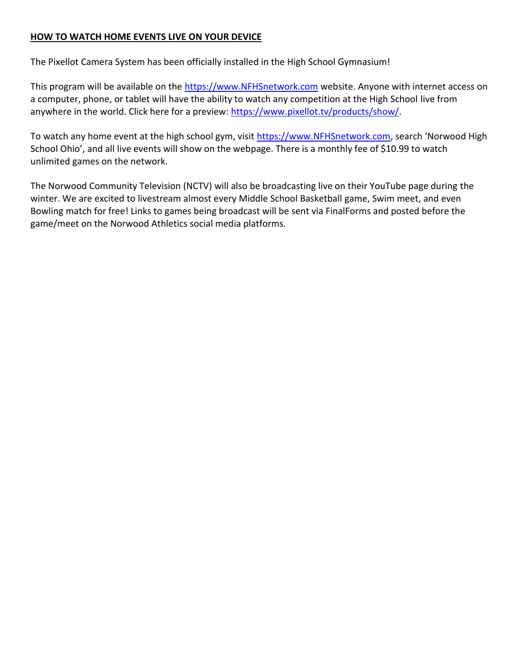# **HOW TO WATCH HOME EVENTS LIVE ON YOUR DEVICE**

The Pixellot Camera System has been officially installed in the High School Gymnasium!

This program will be available on the [https://www.NFHSnetwork.com](https://www.nfhsnetwork.com/) website. Anyone with internet access on a computer, phone, or tablet will have the ability to watch any competition at the High School live from anywhere in the world. Click here for a preview: [https://www.pixellot.tv/products/show/.](https://www.pixellot.tv/products/show/)

To watch any home event at the high school gym, visit [https://www.NFHSnetwork.com,](https://www.nfhsnetwork.com/) search 'Norwood High School Ohio', and all live events will show on the webpage. There is a monthly fee of \$10.99 to watch unlimited games on the network.

The Norwood Community Television (NCTV) will also be broadcasting live on their YouTube page during the winter. We are excited to livestream almost every Middle School Basketball game, Swim meet, and even Bowling match for free! Links to games being broadcast will be sent via FinalForms and posted before the game/meet on the Norwood Athletics social media platforms.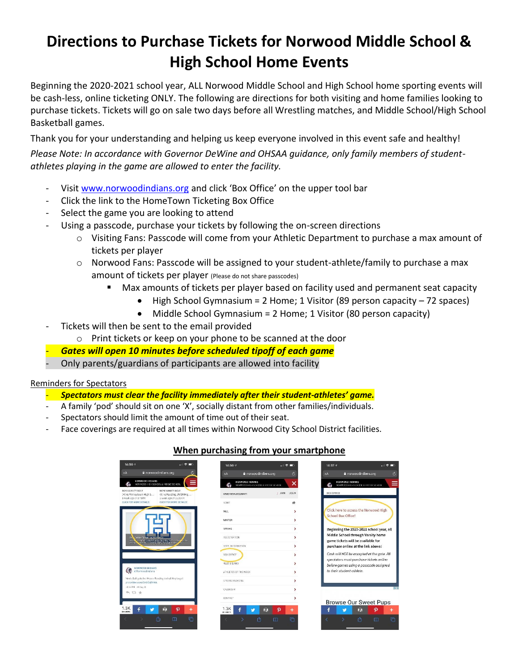# **Directions to Purchase Tickets for Norwood Middle School & High School Home Events**

Beginning the 2020-2021 school year, ALL Norwood Middle School and High School home sporting events will be cash-less, online ticketing ONLY. The following are directions for both visiting and home families looking to purchase tickets. Tickets will go on sale two days before all Wrestling matches, and Middle School/High School Basketball games.

Thank you for your understanding and helping us keep everyone involved in this event safe and healthy! *Please Note: In accordance with Governor DeWine and OHSAA guidance, only family members of studentathletes playing in the game are allowed to enter the facility.* 

- Visi[t www.norwoodindians.org](http://www.norwoodindians.org/) and click 'Box Office' on the upper tool bar
- Click the link to the HomeTown Ticketing Box Office
- Select the game you are looking to attend
- Using a passcode, purchase your tickets by following the on-screen directions
	- o Visiting Fans: Passcode will come from your Athletic Department to purchase a max amount of tickets per player
	- $\circ$  Norwood Fans: Passcode will be assigned to your student-athlete/family to purchase a max amount of tickets per player (Please do not share passcodes)
		- Max amounts of tickets per player based on facility used and permanent seat capacity
			- High School Gymnasium = 2 Home; 1 Visitor (89 person capacity 72 spaces)
			- Middle School Gymnasium = 2 Home; 1 Visitor (80 person capacity)
- Tickets will then be sent to the email provided
	- o Print tickets or keep on your phone to be scanned at the door
- *Gates will open 10 minutes before scheduled tipoff of each game*
- Only parents/guardians of participants are allowed into facility

## Reminders for Spectators

# - *Spectators must clear the facility immediately after their student-athletes' game.*

- A family 'pod' should sit on one 'X', socially distant from other families/individuals.
- Spectators should limit the amount of time out of their seat.
- Face coverings are required at all times within Norwood City School District facilities.

# **When purchasing from your smartphone**

| $14:56 - 7$                                                                                                                       | 和 マート                                            | 14:567                                                  | $n \in \mathbb{Z}$         | $14:57$ $9$                                                                                                    |                                                             | … 全国 |
|-----------------------------------------------------------------------------------------------------------------------------------|--------------------------------------------------|---------------------------------------------------------|----------------------------|----------------------------------------------------------------------------------------------------------------|-------------------------------------------------------------|------|
| a norwoodindians.org<br>AΑ                                                                                                        |                                                  | a norwoodindians.org<br><b>AA</b>                       | $\mathfrak{S}$             | <b>AA</b>                                                                                                      | a norwoodindians.org                                        |      |
| NORWOOD IMDIANS<br>NORWOOD HIGH SCHOOL & MIDDLE SCHOOL                                                                            |                                                  | NORWOOD INDIANS<br>NORWOOD HIGH SCHOOL & VIIDDLE SCHOOL | ×                          | <b>NORWOOD INDIANS</b><br>ö.                                                                                   | NORWOOD FIEH SCHOOL & VIIDDLE SCHOOL                        |      |
| BOYS VARSITY GOLF<br>BOYS VARSITY GOLF<br>(H) vs Finneytown High S<br>1 week ago @ 3:45PM                                         | (A) vs Reading JR/SR Hig<br>1 week ago @ 11:30AM | HAVE A FAN ACCOUNT?                                     | / JOIN LOGIN               | <b>BOX OFFICE</b>                                                                                              |                                                             |      |
| CLICK FOR MORE DETAILS!                                                                                                           | CLICK FOR MORE DETAILS!                          | HONE                                                    |                            |                                                                                                                |                                                             |      |
|                                                                                                                                   |                                                  | <b>FALL</b>                                             |                            | School Box Office!                                                                                             | Click here to access the Norwood High                       |      |
|                                                                                                                                   |                                                  | <b>WINTER</b>                                           | >                          |                                                                                                                |                                                             |      |
|                                                                                                                                   |                                                  | SPRING                                                  | >                          | Beginning the 2020-2021 school year, all                                                                       |                                                             |      |
| On the Fickets in 2020-2021<br>Ob.<br>contract pack be in these Dealers in the contract of the con-<br><b>Graz</b><br>difference. |                                                  | <b>REGISTRATION</b>                                     | >                          | Middle School through Varsity home<br>game tickets will be available for<br>purchase online at the link above! |                                                             |      |
|                                                                                                                                   |                                                  | DEFT, INFORMATION                                       | >                          |                                                                                                                |                                                             |      |
|                                                                                                                                   |                                                  | BOX OFFICE                                              | ١,                         |                                                                                                                | Cash will NOT be accepted at the gate. All                  |      |
| NORWOOD INDIANS<br>德<br>GNorwoodindians                                                                                           |                                                  | <b>FILES &amp; LINKS</b>                                |                            | spectators must purchose tickets online<br>before games using a passcode assigned                              |                                                             |      |
|                                                                                                                                   |                                                  | ATHLETES OF THE WEEK                                    | ,                          | to their student-athlete.                                                                                      |                                                             |      |
| Men's Golf gets the W over Reading today! Way to go!<br>pic.twitter.com/0xUCclNNtA                                                |                                                  | SPORTS MEDICINE                                         | ,                          |                                                                                                                |                                                             |      |
| 10:34 PM 18 Aug 20<br>☆17 ☆                                                                                                       |                                                  | CALENDAR                                                | >                          |                                                                                                                |                                                             |      |
|                                                                                                                                   |                                                  | CONTACT                                                 |                            |                                                                                                                |                                                             |      |
| 1.3K<br>ぽ                                                                                                                         | $\boldsymbol{\Omega}$<br>٠                       | 1.3K                                                    | $\boldsymbol{\Omega}$<br>Ĥ | f                                                                                                              | <b>Browse Our Sweet Pups</b><br>白<br>$\boldsymbol{\varphi}$ |      |
| <b>GHARES</b>                                                                                                                     |                                                  | SHARES.                                                 | ٠                          | v                                                                                                              |                                                             |      |
| rP,                                                                                                                               | 盾<br>$\Box$                                      | ïħ                                                      | G<br>$\Box$                |                                                                                                                | rħ,<br>$\Box$                                               |      |
|                                                                                                                                   |                                                  |                                                         |                            |                                                                                                                |                                                             |      |